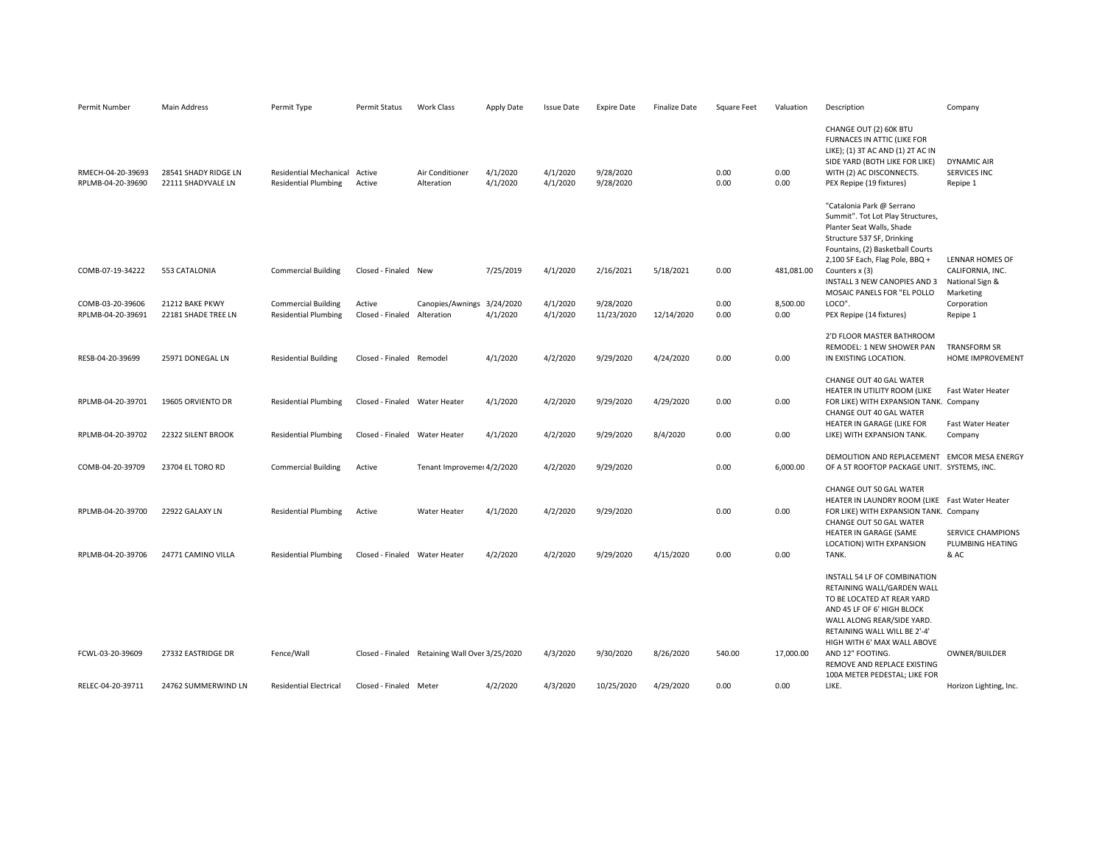| Permit Number                          | Main Address                               | Permit Type                                                  | Permit Status                 | <b>Work Class</b>                              | Apply Date           | <b>Issue Date</b>    | <b>Expire Date</b>      | <b>Finalize Date</b> | Square Feet  | Valuation        | Description                                                                                                                                                                                                         | Company                                 |
|----------------------------------------|--------------------------------------------|--------------------------------------------------------------|-------------------------------|------------------------------------------------|----------------------|----------------------|-------------------------|----------------------|--------------|------------------|---------------------------------------------------------------------------------------------------------------------------------------------------------------------------------------------------------------------|-----------------------------------------|
| RMECH-04-20-39693<br>RPLMB-04-20-39690 | 28541 SHADY RIDGE LN<br>22111 SHADYVALE LN | <b>Residential Mechanical</b><br><b>Residential Plumbing</b> | Active<br>Active              | Air Conditioner<br>Alteration                  | 4/1/2020<br>4/1/2020 | 4/1/2020<br>4/1/2020 | 9/28/2020<br>9/28/2020  |                      | 0.00<br>0.00 | 0.00<br>0.00     | CHANGE OUT (2) 60K BTU<br>FURNACES IN ATTIC (LIKE FOR<br>LIKE); (1) 3T AC AND (1) 2T AC IN<br>SIDE YARD (BOTH LIKE FOR LIKE)<br>WITH (2) AC DISCONNECTS.<br>PEX Repipe (19 fixtures)                                | DYNAMIC AIR<br>SERVICES INC<br>Repipe 1 |
|                                        |                                            |                                                              |                               |                                                |                      |                      |                         |                      |              |                  | "Catalonia Park @ Serrano<br>Summit". Tot Lot Play Structures,<br>Planter Seat Walls, Shade<br>Structure 537 SF, Drinking<br>Fountains, (2) Basketball Courts<br>2,100 SF Each, Flag Pole, BBQ +                    | LENNAR HOMES OF                         |
| COMB-07-19-34222                       | 553 CATALONIA                              | <b>Commercial Building</b>                                   | Closed - Finaled New          |                                                | 7/25/2019            | 4/1/2020             | 2/16/2021               | 5/18/2021            | 0.00         | 481,081.00       | Counters x (3)<br>INSTALL 3 NEW CANOPIES AND 3                                                                                                                                                                      | CALIFORNIA, INC.<br>National Sign &     |
| COMB-03-20-39606<br>RPLMB-04-20-39691  | 21212 BAKE PKWY<br>22181 SHADE TREE LN     | <b>Commercial Building</b><br><b>Residential Plumbing</b>    | Active<br>Closed - Finaled    | Canopies/Awnings 3/24/2020<br>Alteration       | 4/1/2020             | 4/1/2020<br>4/1/2020 | 9/28/2020<br>11/23/2020 | 12/14/2020           | 0.00<br>0.00 | 8.500.00<br>0.00 | MOSAIC PANELS FOR "EL POLLO<br>LOCO".<br>PEX Repipe (14 fixtures)                                                                                                                                                   | Marketing<br>Corporation<br>Repipe 1    |
| RESB-04-20-39699                       | 25971 DONEGAL LN                           | <b>Residential Building</b>                                  | Closed - Finaled Remodel      |                                                | 4/1/2020             | 4/2/2020             | 9/29/2020               | 4/24/2020            | 0.00         | 0.00             | 2'D FLOOR MASTER BATHROOM<br>REMODEL: 1 NEW SHOWER PAN<br>IN EXISTING LOCATION.                                                                                                                                     | <b>TRANSFORM SR</b><br>HOME IMPROVEMENT |
| RPLMB-04-20-39701                      | 19605 ORVIENTO DR                          | <b>Residential Plumbing</b>                                  | Closed - Finaled Water Heater |                                                | 4/1/2020             | 4/2/2020             | 9/29/2020               | 4/29/2020            | 0.00         | 0.00             | CHANGE OUT 40 GAL WATER<br>HEATER IN UTILITY ROOM (LIKE<br>FOR LIKE) WITH EXPANSION TANK. Company<br>CHANGE OUT 40 GAL WATER                                                                                        | Fast Water Heater                       |
| RPLMB-04-20-39702                      | 22322 SILENT BROOK                         | <b>Residential Plumbing</b>                                  | Closed - Finaled Water Heater |                                                | 4/1/2020             | 4/2/2020             | 9/29/2020               | 8/4/2020             | 0.00         | 0.00             | HEATER IN GARAGE (LIKE FOR<br>LIKE) WITH EXPANSION TANK.                                                                                                                                                            | Fast Water Heater<br>Company            |
| COMB-04-20-39709                       | 23704 EL TORO RD                           | <b>Commercial Building</b>                                   | Active                        | Tenant Improveme: 4/2/2020                     |                      | 4/2/2020             | 9/29/2020               |                      | 0.00         | 6,000.00         | DEMOLITION AND REPLACEMENT EMCOR MESA ENERGY<br>OF A 5T ROOFTOP PACKAGE UNIT. SYSTEMS, INC.                                                                                                                         |                                         |
| RPLMB-04-20-39700                      | 22922 GALAXY LN                            | <b>Residential Plumbing</b>                                  | Active                        | Water Heater                                   | 4/1/2020             | 4/2/2020             | 9/29/2020               |                      | 0.00         | 0.00             | CHANGE OUT 50 GAL WATER<br>HEATER IN LAUNDRY ROOM (LIKE Fast Water Heater<br>FOR LIKE) WITH EXPANSION TANK. Company<br>CHANGE OUT 50 GAL WATER<br>HEATER IN GARAGE (SAME                                            | <b>SERVICE CHAMPIONS</b>                |
| RPLMB-04-20-39706                      | 24771 CAMINO VILLA                         | <b>Residential Plumbing</b>                                  | Closed - Finaled Water Heater |                                                | 4/2/2020             | 4/2/2020             | 9/29/2020               | 4/15/2020            | 0.00         | 0.00             | LOCATION) WITH EXPANSION<br>TANK.                                                                                                                                                                                   | PLUMBING HEATING<br>& AC                |
|                                        |                                            |                                                              |                               |                                                |                      |                      |                         |                      |              |                  | INSTALL 54 LF OF COMBINATION<br>RETAINING WALL/GARDEN WALL<br>TO BE LOCATED AT REAR YARD<br>AND 45 LF OF 6' HIGH BLOCK<br>WALL ALONG REAR/SIDE YARD.<br>RETAINING WALL WILL BE 2'-4'<br>HIGH WITH 6' MAX WALL ABOVE |                                         |
| FCWL-03-20-39609                       | 27332 EASTRIDGE DR                         | Fence/Wall                                                   |                               | Closed - Finaled Retaining Wall Over 3/25/2020 |                      | 4/3/2020             | 9/30/2020               | 8/26/2020            | 540.00       | 17,000.00        | AND 12" FOOTING.<br>REMOVE AND REPLACE EXISTING<br>100A METER PEDESTAL; LIKE FOR                                                                                                                                    | OWNER/BUILDER                           |
| RELEC-04-20-39711                      | 24762 SUMMERWIND LN                        | <b>Residential Electrical</b>                                | Closed - Finaled Meter        |                                                | 4/2/2020             | 4/3/2020             | 10/25/2020              | 4/29/2020            | 0.00         | 0.00             | LIKE.                                                                                                                                                                                                               | Horizon Lighting, Inc.                  |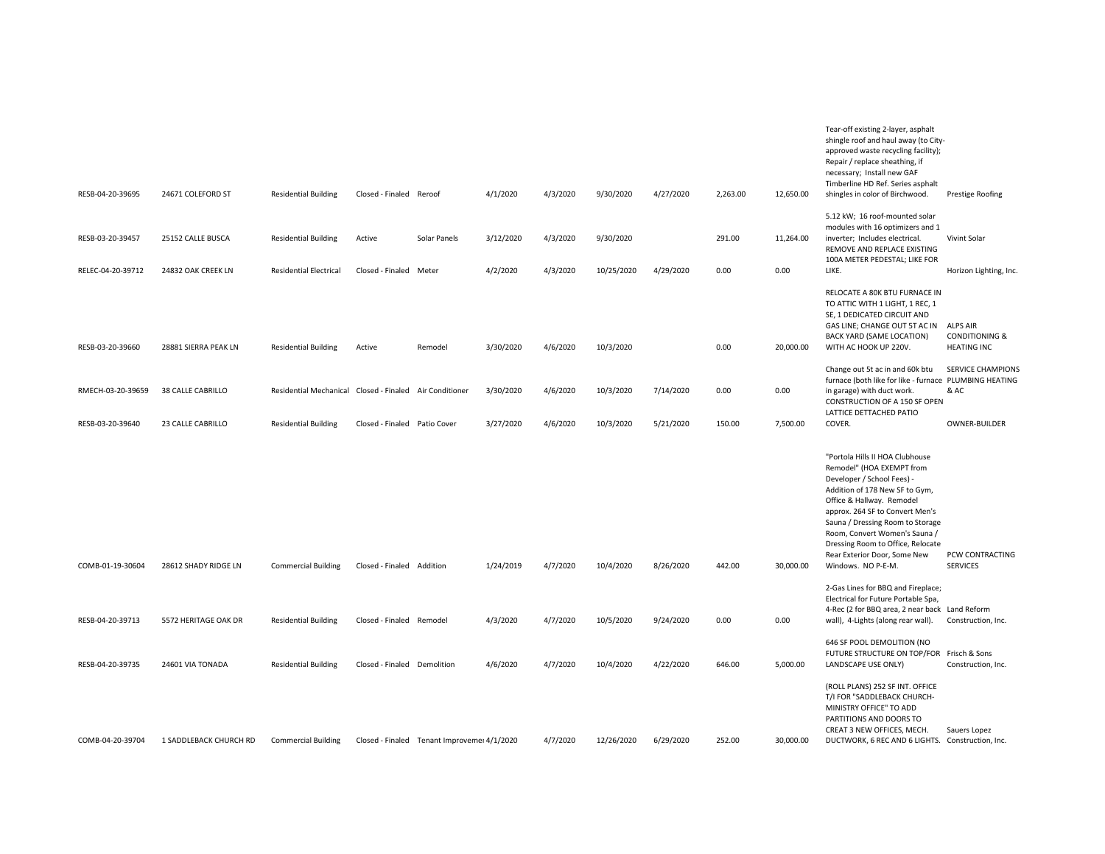|                   |                        |                                         |                              |                                             |           |          |            |           |          |           | Tear-off existing 2-layer, asphalt<br>shingle roof and haul away (to City-<br>approved waste recycling facility);<br>Repair / replace sheathing, if<br>necessary; Install new GAF<br>Timberline HD Ref. Series asphalt                                                                                                                                       |                                                                    |
|-------------------|------------------------|-----------------------------------------|------------------------------|---------------------------------------------|-----------|----------|------------|-----------|----------|-----------|--------------------------------------------------------------------------------------------------------------------------------------------------------------------------------------------------------------------------------------------------------------------------------------------------------------------------------------------------------------|--------------------------------------------------------------------|
| RESB-04-20-39695  | 24671 COLEFORD ST      | <b>Residential Building</b>             | Closed - Finaled Reroof      |                                             | 4/1/2020  | 4/3/2020 | 9/30/2020  | 4/27/2020 | 2,263.00 | 12,650.00 | shingles in color of Birchwood.                                                                                                                                                                                                                                                                                                                              | Prestige Roofing                                                   |
| RESB-03-20-39457  | 25152 CALLE BUSCA      | <b>Residential Building</b>             | Active                       | Solar Panels                                | 3/12/2020 | 4/3/2020 | 9/30/2020  |           | 291.00   | 11,264.00 | 5.12 kW; 16 roof-mounted solar<br>modules with 16 optimizers and 1<br>inverter; Includes electrical.<br>REMOVE AND REPLACE EXISTING<br>100A METER PEDESTAL; LIKE FOR                                                                                                                                                                                         | Vivint Solar                                                       |
| RELEC-04-20-39712 | 24832 OAK CREEK LN     | <b>Residential Electrical</b>           | Closed - Finaled Meter       |                                             | 4/2/2020  | 4/3/2020 | 10/25/2020 | 4/29/2020 | 0.00     | 0.00      | LIKE.                                                                                                                                                                                                                                                                                                                                                        | Horizon Lighting, Inc.                                             |
| RESB-03-20-39660  | 28881 SIERRA PEAK LN   | <b>Residential Building</b>             | Active                       | Remodel                                     | 3/30/2020 | 4/6/2020 | 10/3/2020  |           | 0.00     | 20,000.00 | RELOCATE A 80K BTU FURNACE IN<br>TO ATTIC WITH 1 LIGHT, 1 REC, 1<br>SE, 1 DEDICATED CIRCUIT AND<br>GAS LINE; CHANGE OUT 5T AC IN<br><b>BACK YARD (SAME LOCATION)</b><br>WITH AC HOOK UP 220V.                                                                                                                                                                | <b>ALPS AIR</b><br><b>CONDITIONING &amp;</b><br><b>HEATING INC</b> |
|                   |                        |                                         |                              |                                             |           |          |            |           |          |           | Change out 5t ac in and 60k btu<br>furnace (both like for like - furnace PLUMBING HEATING                                                                                                                                                                                                                                                                    | <b>SERVICE CHAMPIONS</b>                                           |
| RMECH-03-20-39659 | 38 CALLE CABRILLO      | Residential Mechanical Closed - Finaled |                              | Air Conditioner                             | 3/30/2020 | 4/6/2020 | 10/3/2020  | 7/14/2020 | 0.00     | 0.00      | in garage) with duct work.<br>CONSTRUCTION OF A 150 SF OPEN<br>LATTICE DETTACHED PATIO                                                                                                                                                                                                                                                                       | & AC                                                               |
| RESB-03-20-39640  | 23 CALLE CABRILLO      | <b>Residential Building</b>             | Closed - Finaled Patio Cover |                                             | 3/27/2020 | 4/6/2020 | 10/3/2020  | 5/21/2020 | 150.00   | 7,500.00  | COVER.                                                                                                                                                                                                                                                                                                                                                       | OWNER-BUILDER                                                      |
| COMB-01-19-30604  | 28612 SHADY RIDGE LN   | <b>Commercial Building</b>              | Closed - Finaled Addition    |                                             | 1/24/2019 | 4/7/2020 | 10/4/2020  | 8/26/2020 | 442.00   | 30,000.00 | "Portola Hills II HOA Clubhouse<br>Remodel" (HOA EXEMPT from<br>Developer / School Fees) -<br>Addition of 178 New SF to Gym,<br>Office & Hallway. Remodel<br>approx. 264 SF to Convert Men's<br>Sauna / Dressing Room to Storage<br>Room, Convert Women's Sauna /<br>Dressing Room to Office, Relocate<br>Rear Exterior Door, Some New<br>Windows. NO P-E-M. | PCW CONTRACTING<br><b>SERVICES</b>                                 |
| RESB-04-20-39713  | 5572 HERITAGE OAK DR   | <b>Residential Building</b>             | Closed - Finaled Remodel     |                                             | 4/3/2020  | 4/7/2020 | 10/5/2020  | 9/24/2020 | 0.00     | 0.00      | 2-Gas Lines for BBQ and Fireplace;<br>Electrical for Future Portable Spa,<br>4-Rec (2 for BBQ area, 2 near back Land Reform<br>wall), 4-Lights (along rear wall).                                                                                                                                                                                            | Construction, Inc.                                                 |
| RESB-04-20-39735  | 24601 VIA TONADA       | <b>Residential Building</b>             | Closed - Finaled Demolition  |                                             | 4/6/2020  | 4/7/2020 | 10/4/2020  | 4/22/2020 | 646.00   | 5,000.00  | 646 SF POOL DEMOLITION (NO<br>FUTURE STRUCTURE ON TOP/FOR Frisch & Sons<br>LANDSCAPE USE ONLY)                                                                                                                                                                                                                                                               | Construction, Inc.                                                 |
| COMB-04-20-39704  | 1 SADDLEBACK CHURCH RD | <b>Commercial Building</b>              |                              | Closed - Finaled Tenant Improvemei 4/1/2020 |           | 4/7/2020 | 12/26/2020 | 6/29/2020 | 252.00   | 30,000.00 | (ROLL PLANS) 252 SF INT. OFFICE<br>T/I FOR "SADDLEBACK CHURCH-<br>MINISTRY OFFICE" TO ADD<br>PARTITIONS AND DOORS TO<br>CREAT 3 NEW OFFICES, MECH.<br>DUCTWORK, 6 REC AND 6 LIGHTS. Construction, Inc.                                                                                                                                                       | Sauers Lopez                                                       |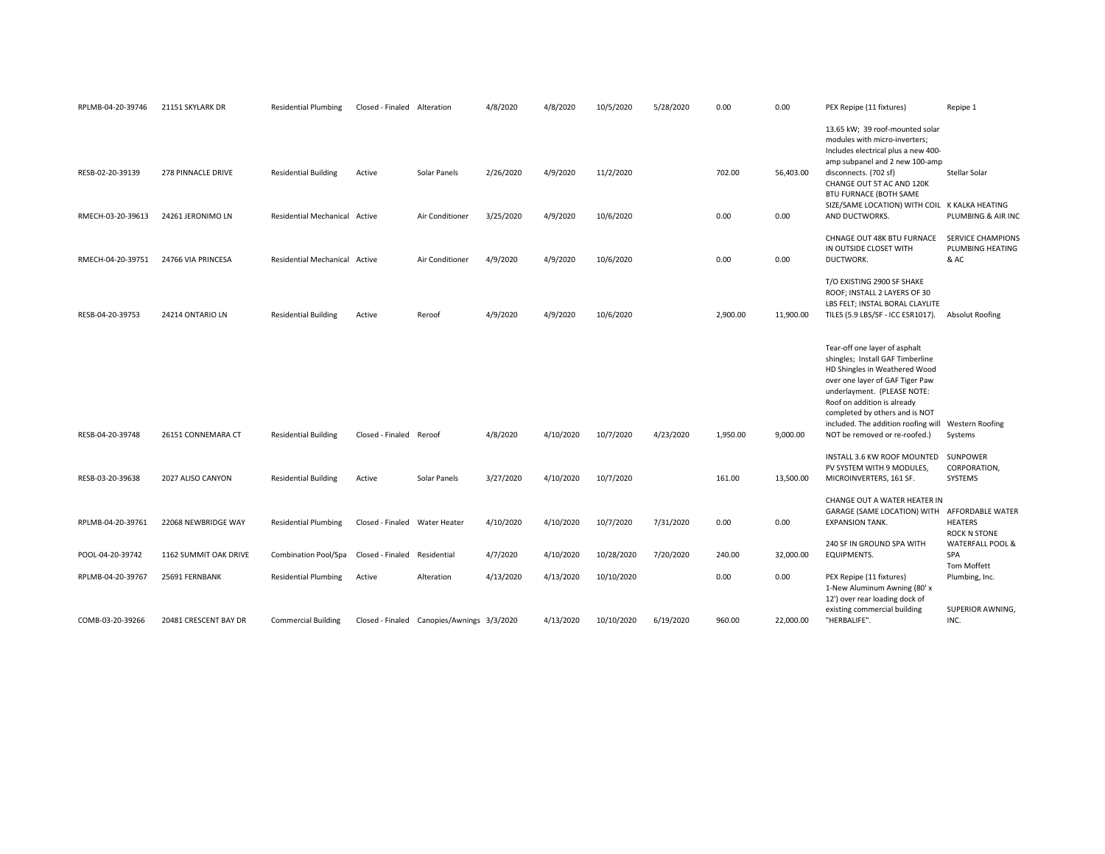| RPLMB-04-20-39746                     | 21151 SKYLARK DR                        | <b>Residential Plumbing</b>                                  | Closed - Finaled Alteration            |                                            | 4/8/2020               | 4/8/2020               | 10/5/2020                | 5/28/2020 | 0.00           | 0.00              | PEX Repipe (11 fixtures)                                                                                                                                                                                                                                                                                                      | Repipe 1                                                        |
|---------------------------------------|-----------------------------------------|--------------------------------------------------------------|----------------------------------------|--------------------------------------------|------------------------|------------------------|--------------------------|-----------|----------------|-------------------|-------------------------------------------------------------------------------------------------------------------------------------------------------------------------------------------------------------------------------------------------------------------------------------------------------------------------------|-----------------------------------------------------------------|
| RESB-02-20-39139<br>RMECH-03-20-39613 | 278 PINNACLE DRIVE<br>24261 JERONIMO LN | <b>Residential Building</b><br>Residential Mechanical Active | Active                                 | Solar Panels<br>Air Conditioner            | 2/26/2020<br>3/25/2020 | 4/9/2020<br>4/9/2020   | 11/2/2020<br>10/6/2020   |           | 702.00<br>0.00 | 56,403.00<br>0.00 | 13.65 kW; 39 roof-mounted solar<br>modules with micro-inverters;<br>Includes electrical plus a new 400-<br>amp subpanel and 2 new 100-amp<br>disconnects. (702 sf)<br>CHANGE OUT 5T AC AND 120K<br><b>BTU FURNACE (BOTH SAME</b><br>SIZE/SAME LOCATION) WITH COIL K KALKA HEATING<br>AND DUCTWORKS.                           | Stellar Solar<br>PLUMBING & AIR INC                             |
| RMECH-04-20-39751                     | 24766 VIA PRINCESA                      | Residential Mechanical Active                                |                                        | Air Conditioner                            | 4/9/2020               | 4/9/2020               | 10/6/2020                |           | 0.00           | 0.00              | CHNAGE OUT 48K BTU FURNACE<br>IN OUTSIDE CLOSET WITH<br>DUCTWORK.                                                                                                                                                                                                                                                             | <b>SERVICE CHAMPIONS</b><br>PLUMBING HEATING<br>& AC            |
| RESB-04-20-39753                      | 24214 ONTARIO LN                        | <b>Residential Building</b>                                  | Active                                 | Reroof                                     | 4/9/2020               | 4/9/2020               | 10/6/2020                |           | 2.900.00       | 11,900.00         | T/O EXISTING 2900 SF SHAKE<br>ROOF; INSTALL 2 LAYERS OF 30<br>LBS FELT; INSTAL BORAL CLAYLITE<br>TILES (5.9 LBS/SF - ICC ESR1017).                                                                                                                                                                                            | Absolut Roofing                                                 |
| RESB-04-20-39748                      | 26151 CONNEMARA CT                      | <b>Residential Building</b>                                  | Closed - Finaled Reroof                |                                            | 4/8/2020               | 4/10/2020              | 10/7/2020                | 4/23/2020 | 1,950.00       | 9,000.00          | Tear-off one layer of asphalt<br>shingles; Install GAF Timberline<br>HD Shingles in Weathered Wood<br>over one layer of GAF Tiger Paw<br>underlayment. (PLEASE NOTE:<br>Roof on addition is already<br>completed by others and is NOT<br>included. The addition roofing will Western Roofing<br>NOT be removed or re-roofed.) | Systems                                                         |
| RESB-03-20-39638                      | 2027 ALISO CANYON                       | <b>Residential Building</b>                                  | Active                                 | Solar Panels                               | 3/27/2020              | 4/10/2020              | 10/7/2020                |           | 161.00         | 13,500.00         | INSTALL 3.6 KW ROOF MOUNTED<br>PV SYSTEM WITH 9 MODULES,<br>MICROINVERTERS, 161 SF.                                                                                                                                                                                                                                           | SUNPOWER<br>CORPORATION,<br>SYSTEMS                             |
| RPLMB-04-20-39761                     | 22068 NEWBRIDGE WAY                     | <b>Residential Plumbing</b>                                  | Closed - Finaled Water Heater          |                                            | 4/10/2020              | 4/10/2020              | 10/7/2020                | 7/31/2020 | 0.00           | 0.00              | CHANGE OUT A WATER HEATER IN<br>GARAGE (SAME LOCATION) WITH AFFORDABLE WATER<br><b>EXPANSION TANK.</b>                                                                                                                                                                                                                        | <b>HEATERS</b><br>ROCK N STONE                                  |
| POOL-04-20-39742<br>RPLMB-04-20-39767 | 1162 SUMMIT OAK DRIVE<br>25691 FERNBANK | <b>Combination Pool/Spa</b><br><b>Residential Plumbing</b>   | Closed - Finaled Residential<br>Active | Alteration                                 | 4/7/2020<br>4/13/2020  | 4/10/2020<br>4/13/2020 | 10/28/2020<br>10/10/2020 | 7/20/2020 | 240.00<br>0.00 | 32,000.00<br>0.00 | 240 SF IN GROUND SPA WITH<br>EQUIPMENTS.<br>PEX Repipe (11 fixtures)<br>1-New Aluminum Awning (80' x                                                                                                                                                                                                                          | WATERFALL POOL &<br><b>SPA</b><br>Tom Moffett<br>Plumbing, Inc. |
| COMB-03-20-39266                      | 20481 CRESCENT BAY DR                   | <b>Commercial Building</b>                                   |                                        | Closed - Finaled Canopies/Awnings 3/3/2020 |                        | 4/13/2020              | 10/10/2020               | 6/19/2020 | 960.00         | 22,000.00         | 12') over rear loading dock of<br>existing commercial building<br>"HERBALIFE".                                                                                                                                                                                                                                                | SUPERIOR AWNING,<br>INC.                                        |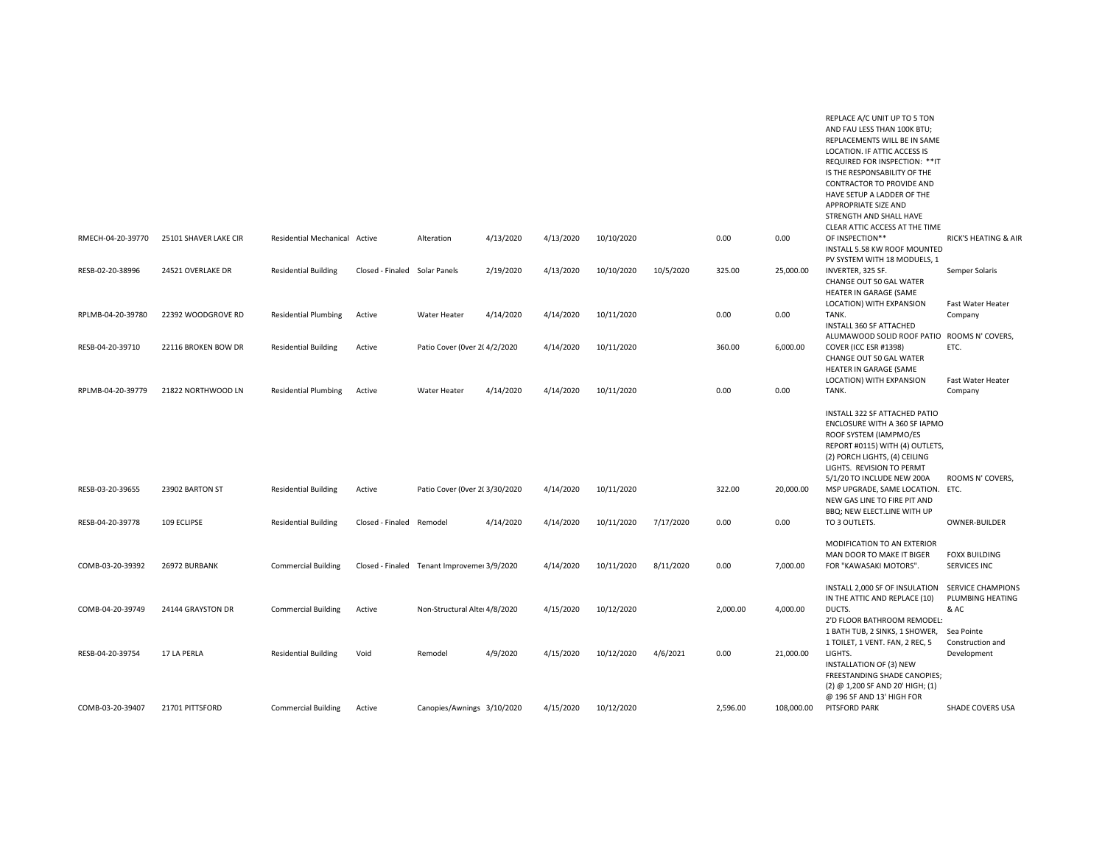|                   |                       |                               |                               |                                             |           |           |            |           |          |            | REPLACE A/C UNIT UP TO 5 TON<br>AND FAU LESS THAN 100K BTU;<br>REPLACEMENTS WILL BE IN SAME<br>LOCATION. IF ATTIC ACCESS IS<br>REQUIRED FOR INSPECTION: ** IT<br>IS THE RESPONSABILITY OF THE<br>CONTRACTOR TO PROVIDE AND<br>HAVE SETUP A LADDER OF THE<br><b>APPROPRIATE SIZE AND</b><br>STRENGTH AND SHALL HAVE<br>CLEAR ATTIC ACCESS AT THE TIME |                                                                    |
|-------------------|-----------------------|-------------------------------|-------------------------------|---------------------------------------------|-----------|-----------|------------|-----------|----------|------------|------------------------------------------------------------------------------------------------------------------------------------------------------------------------------------------------------------------------------------------------------------------------------------------------------------------------------------------------------|--------------------------------------------------------------------|
| RMECH-04-20-39770 | 25101 SHAVER LAKE CIR | Residential Mechanical Active |                               | Alteration                                  | 4/13/2020 | 4/13/2020 | 10/10/2020 |           | 0.00     | 0.00       | OF INSPECTION**<br>INSTALL 5.58 KW ROOF MOUNTED<br>PV SYSTEM WITH 18 MODUELS, 1                                                                                                                                                                                                                                                                      | RICK'S HEATING & AIR                                               |
| RESB-02-20-38996  | 24521 OVERLAKE DR     | <b>Residential Building</b>   | Closed - Finaled Solar Panels |                                             | 2/19/2020 | 4/13/2020 | 10/10/2020 | 10/5/2020 | 325.00   | 25,000.00  | INVERTER, 325 SF.<br>CHANGE OUT 50 GAL WATER<br>HEATER IN GARAGE (SAME<br>LOCATION) WITH EXPANSION                                                                                                                                                                                                                                                   | Semper Solaris<br>Fast Water Heater                                |
| RPLMB-04-20-39780 | 22392 WOODGROVE RD    | <b>Residential Plumbing</b>   | Active                        | <b>Water Heater</b>                         | 4/14/2020 | 4/14/2020 | 10/11/2020 |           | 0.00     | 0.00       | TANK.<br>INSTALL 360 SF ATTACHED<br>ALUMAWOOD SOLID ROOF PATIO ROOMS N' COVERS,                                                                                                                                                                                                                                                                      | Company                                                            |
| RESB-04-20-39710  | 22116 BROKEN BOW DR   | <b>Residential Building</b>   | Active                        | Patio Cover (0ver 2(4/2/2020                |           | 4/14/2020 | 10/11/2020 |           | 360.00   | 6,000.00   | COVER (ICC ESR #1398)<br>CHANGE OUT 50 GAL WATER<br>HEATER IN GARAGE (SAME                                                                                                                                                                                                                                                                           | ETC.                                                               |
| RPLMB-04-20-39779 | 21822 NORTHWOOD LN    | <b>Residential Plumbing</b>   | Active                        | <b>Water Heater</b>                         | 4/14/2020 | 4/14/2020 | 10/11/2020 |           | 0.00     | 0.00       | LOCATION) WITH EXPANSION<br>TANK.                                                                                                                                                                                                                                                                                                                    | Fast Water Heater<br>Company                                       |
| RESB-03-20-39655  | 23902 BARTON ST       | <b>Residential Building</b>   | Active                        | Patio Cover (0ver 2( 3/30/2020              |           | 4/14/2020 | 10/11/2020 |           | 322.00   | 20,000.00  | INSTALL 322 SF ATTACHED PATIO<br>ENCLOSURE WITH A 360 SF IAPMO<br>ROOF SYSTEM (IAMPMO/ES<br>REPORT #0115) WITH (4) OUTLETS,<br>(2) PORCH LIGHTS, (4) CEILING<br>LIGHTS. REVISION TO PERMT<br>5/1/20 TO INCLUDE NEW 200A<br>MSP UPGRADE, SAME LOCATION.<br>NEW GAS LINE TO FIRE PIT AND<br>BBQ; NEW ELECT.LINE WITH UP                                | ROOMS N' COVERS,<br>ETC.                                           |
| RESB-04-20-39778  | 109 ECLIPSE           | <b>Residential Building</b>   | Closed - Finaled Remodel      |                                             | 4/14/2020 | 4/14/2020 | 10/11/2020 | 7/17/2020 | 0.00     | 0.00       | TO 3 OUTLETS.                                                                                                                                                                                                                                                                                                                                        | OWNER-BUILDER                                                      |
| COMB-03-20-39392  | 26972 BURBANK         | <b>Commercial Building</b>    |                               | Closed - Finaled Tenant Improveme: 3/9/2020 |           | 4/14/2020 | 10/11/2020 | 8/11/2020 | 0.00     | 7,000.00   | MODIFICATION TO AN EXTERIOR<br>MAN DOOR TO MAKE IT BIGER<br>FOR "KAWASAKI MOTORS".                                                                                                                                                                                                                                                                   | <b>FOXX BUILDING</b><br>SERVICES INC                               |
| COMB-04-20-39749  | 24144 GRAYSTON DR     | <b>Commercial Building</b>    | Active                        | Non-Structural Alter 4/8/2020               |           | 4/15/2020 | 10/12/2020 |           | 2,000.00 | 4,000.00   | INSTALL 2,000 SF OF INSULATION<br>IN THE ATTIC AND REPLACE (10)<br>DUCTS.<br>2'D FLOOR BATHROOM REMODEL:<br>1 BATH TUB, 2 SINKS, 1 SHOWER,                                                                                                                                                                                                           | <b>SERVICE CHAMPIONS</b><br>PLUMBING HEATING<br>& AC<br>Sea Pointe |
| RESB-04-20-39754  | 17 LA PERLA           | <b>Residential Building</b>   | Void                          | Remodel                                     | 4/9/2020  | 4/15/2020 | 10/12/2020 | 4/6/2021  | 0.00     | 21,000.00  | 1 TOILET, 1 VENT. FAN, 2 REC, 5<br>LIGHTS.<br>INSTALLATION OF (3) NEW<br>FREESTANDING SHADE CANOPIES;<br>(2) @ 1,200 SF AND 20' HIGH; (1)                                                                                                                                                                                                            | Construction and<br>Development                                    |
| COMB-03-20-39407  | 21701 PITTSFORD       | <b>Commercial Building</b>    | Active                        | Canopies/Awnings 3/10/2020                  |           | 4/15/2020 | 10/12/2020 |           | 2,596.00 | 108,000.00 | @ 196 SF AND 13' HIGH FOR<br>PITSFORD PARK                                                                                                                                                                                                                                                                                                           | SHADE COVERS USA                                                   |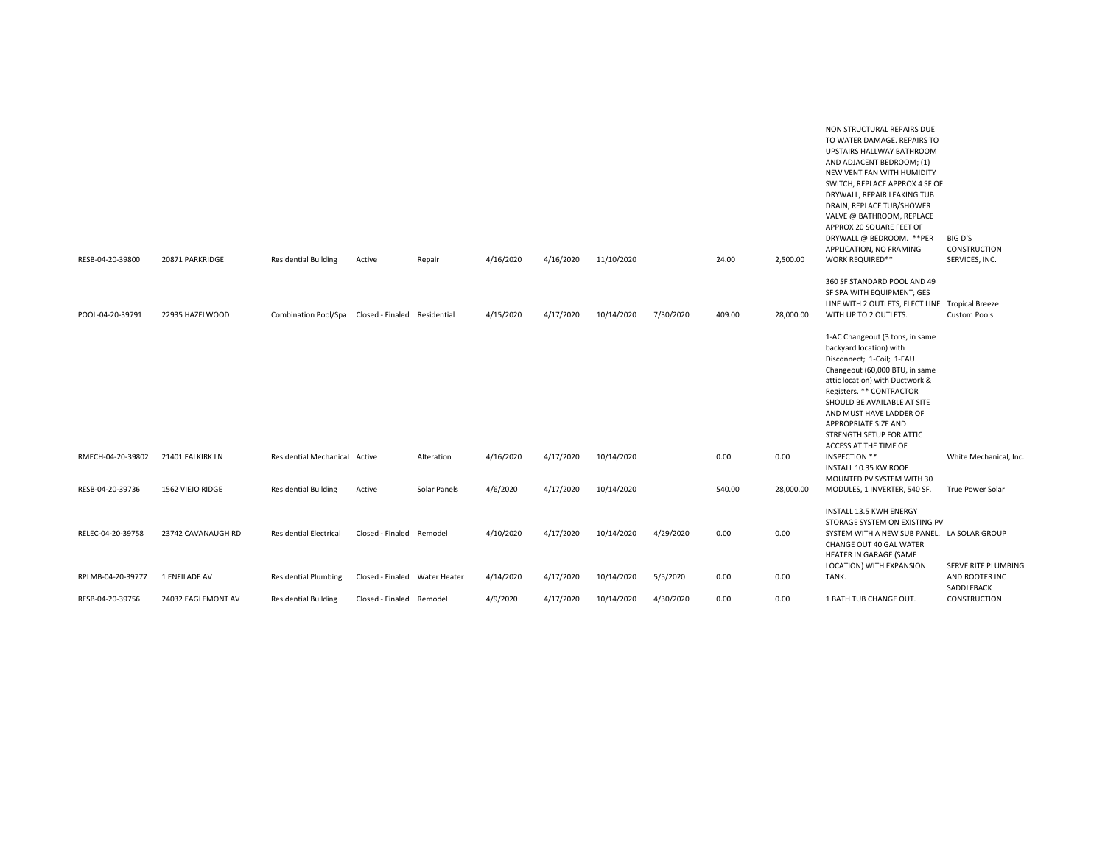| RESB-04-20-39800  | 20871 PARKRIDGE    | <b>Residential Building</b>                       | Active                        | Repair       | 4/16/2020 | 4/16/2020 | 11/10/2020 |           | 24.00  | 2,500.00  | NON STRUCTURAL REPAIRS DUE<br>TO WATER DAMAGE. REPAIRS TO<br>UPSTAIRS HALLWAY BATHROOM<br>AND ADJACENT BEDROOM; (1)<br>NEW VENT FAN WITH HUMIDITY<br>SWITCH, REPLACE APPROX 4 SF OF<br>DRYWALL, REPAIR LEAKING TUB<br>DRAIN, REPLACE TUB/SHOWER<br>VALVE @ BATHROOM, REPLACE<br>APPROX 20 SQUARE FEET OF<br>DRYWALL @ BEDROOM. **PER<br>APPLICATION, NO FRAMING<br><b>WORK REQUIRED**</b> | BIG D'S<br>CONSTRUCTION<br>SERVICES, INC.    |
|-------------------|--------------------|---------------------------------------------------|-------------------------------|--------------|-----------|-----------|------------|-----------|--------|-----------|-------------------------------------------------------------------------------------------------------------------------------------------------------------------------------------------------------------------------------------------------------------------------------------------------------------------------------------------------------------------------------------------|----------------------------------------------|
|                   |                    |                                                   |                               |              |           |           |            |           |        |           |                                                                                                                                                                                                                                                                                                                                                                                           |                                              |
|                   |                    |                                                   |                               |              |           |           |            |           |        |           | 360 SF STANDARD POOL AND 49<br>SF SPA WITH EQUIPMENT; GES                                                                                                                                                                                                                                                                                                                                 |                                              |
|                   |                    |                                                   |                               |              |           |           |            |           |        |           | LINE WITH 2 OUTLETS, ELECT LINE Tropical Breeze                                                                                                                                                                                                                                                                                                                                           |                                              |
| POOL-04-20-39791  | 22935 HAZELWOOD    | Combination Pool/Spa Closed - Finaled Residential |                               |              | 4/15/2020 | 4/17/2020 | 10/14/2020 | 7/30/2020 | 409.00 | 28,000.00 | WITH UP TO 2 OUTLETS.                                                                                                                                                                                                                                                                                                                                                                     | <b>Custom Pools</b>                          |
|                   |                    |                                                   |                               |              |           |           |            |           |        |           | 1-AC Changeout (3 tons, in same<br>backyard location) with<br>Disconnect; 1-Coil; 1-FAU<br>Changeout (60,000 BTU, in same<br>attic location) with Ductwork &<br>Registers. ** CONTRACTOR<br>SHOULD BE AVAILABLE AT SITE<br>AND MUST HAVE LADDER OF<br><b>APPROPRIATE SIZE AND</b><br>STRENGTH SETUP FOR ATTIC<br>ACCESS AT THE TIME OF                                                    |                                              |
| RMECH-04-20-39802 | 21401 FALKIRK LN   | Residential Mechanical Active                     |                               | Alteration   | 4/16/2020 | 4/17/2020 | 10/14/2020 |           | 0.00   | 0.00      | INSPECTION **<br>INSTALL 10.35 KW ROOF                                                                                                                                                                                                                                                                                                                                                    | White Mechanical, Inc.                       |
| RESB-04-20-39736  | 1562 VIEJO RIDGE   | <b>Residential Building</b>                       | Active                        | Solar Panels | 4/6/2020  | 4/17/2020 | 10/14/2020 |           | 540.00 | 28,000.00 | MOUNTED PV SYSTEM WITH 30<br>MODULES, 1 INVERTER, 540 SF.                                                                                                                                                                                                                                                                                                                                 | True Power Solar                             |
| RELEC-04-20-39758 | 23742 CAVANAUGH RD | <b>Residential Electrical</b>                     | Closed - Finaled Remodel      |              | 4/10/2020 | 4/17/2020 | 10/14/2020 | 4/29/2020 | 0.00   | 0.00      | INSTALL 13.5 KWH ENERGY<br>STORAGE SYSTEM ON EXISTING PV<br>SYSTEM WITH A NEW SUB PANEL. LA SOLAR GROUP<br>CHANGE OUT 40 GAL WATER<br>HEATER IN GARAGE (SAME                                                                                                                                                                                                                              |                                              |
| RPLMB-04-20-39777 | 1 ENFILADE AV      | <b>Residential Plumbing</b>                       | Closed - Finaled Water Heater |              | 4/14/2020 | 4/17/2020 | 10/14/2020 | 5/5/2020  | 0.00   | 0.00      | LOCATION) WITH EXPANSION<br>TANK.                                                                                                                                                                                                                                                                                                                                                         | <b>SERVE RITE PLUMBING</b><br>AND ROOTER INC |
| RESB-04-20-39756  | 24032 EAGLEMONT AV | <b>Residential Building</b>                       | Closed - Finaled Remodel      |              | 4/9/2020  | 4/17/2020 | 10/14/2020 | 4/30/2020 | 0.00   | 0.00      | 1 BATH TUB CHANGE OUT.                                                                                                                                                                                                                                                                                                                                                                    | SADDLEBACK<br>CONSTRUCTION                   |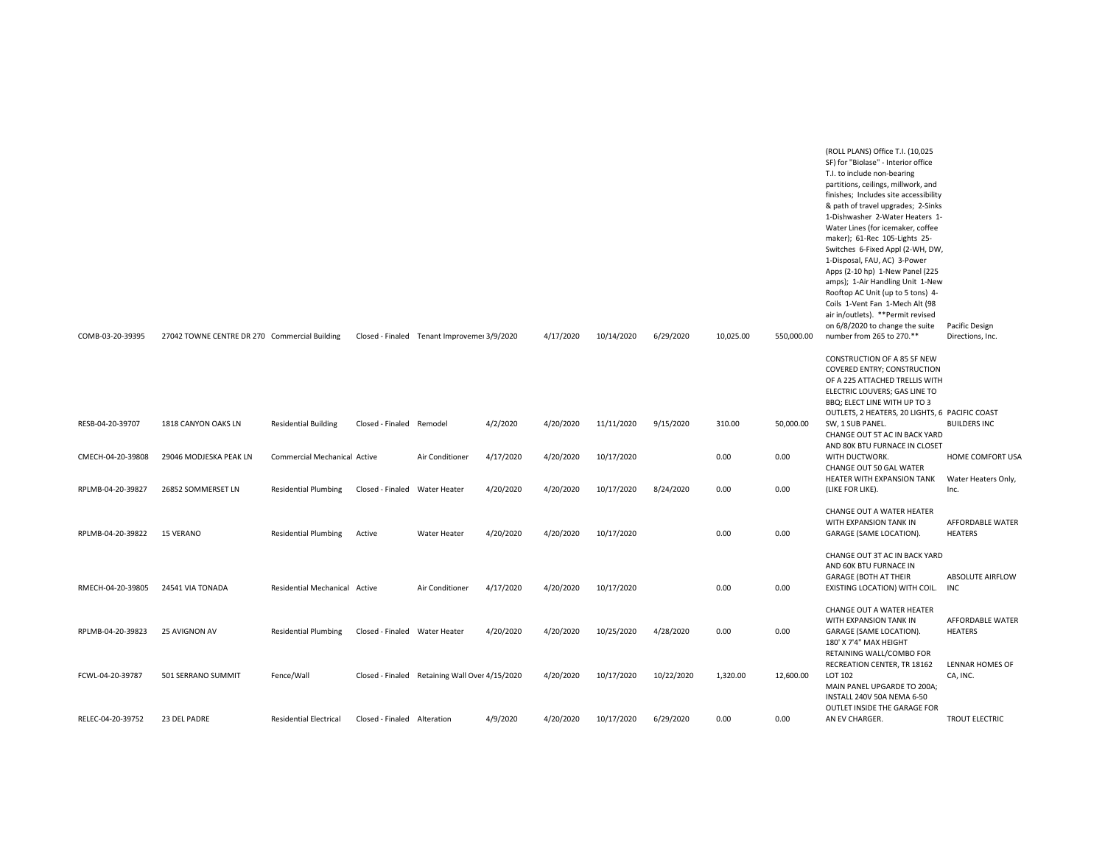| COMB-03-20-39395  | 27042 TOWNE CENTRE DR 270 Commercial Building |                               |                               | Closed - Finaled Tenant Improvemei 3/9/2020    |           | 4/17/2020 | 10/14/2020 | 6/29/2020  | 10,025.00 | 550,000.00 | (ROLL PLANS) Office T.I. (10,025<br>SF) for "Biolase" - Interior office<br>T.I. to include non-bearing<br>partitions, ceilings, millwork, and<br>finishes; Includes site accessibility<br>& path of travel upgrades; 2-Sinks<br>1-Dishwasher 2-Water Heaters 1-<br>Water Lines (for icemaker, coffee<br>maker); 61-Rec 105-Lights 25-<br>Switches 6-Fixed Appl (2-WH, DW,<br>1-Disposal, FAU, AC) 3-Power<br>Apps (2-10 hp) 1-New Panel (225<br>amps); 1-Air Handling Unit 1-New<br>Rooftop AC Unit (up to 5 tons) 4-<br>Coils 1-Vent Fan 1-Mech Alt (98<br>air in/outlets). **Permit revised<br>on 6/8/2020 to change the suite<br>number from 265 to 270.** | Pacific Design<br>Directions, Inc. |
|-------------------|-----------------------------------------------|-------------------------------|-------------------------------|------------------------------------------------|-----------|-----------|------------|------------|-----------|------------|---------------------------------------------------------------------------------------------------------------------------------------------------------------------------------------------------------------------------------------------------------------------------------------------------------------------------------------------------------------------------------------------------------------------------------------------------------------------------------------------------------------------------------------------------------------------------------------------------------------------------------------------------------------|------------------------------------|
|                   |                                               |                               |                               |                                                |           |           |            |            |           |            | CONSTRUCTION OF A 85 SF NEW<br><b>COVERED ENTRY; CONSTRUCTION</b><br>OF A 225 ATTACHED TRELLIS WITH<br>ELECTRIC LOUVERS; GAS LINE TO<br>BBQ: ELECT LINE WITH UP TO 3<br>OUTLETS, 2 HEATERS, 20 LIGHTS, 6 PACIFIC COAST                                                                                                                                                                                                                                                                                                                                                                                                                                        |                                    |
| RESB-04-20-39707  | 1818 CANYON OAKS LN                           | <b>Residential Building</b>   | Closed - Finaled Remodel      |                                                | 4/2/2020  | 4/20/2020 | 11/11/2020 | 9/15/2020  | 310.00    | 50,000.00  | SW, 1 SUB PANEL.<br>CHANGE OUT 5T AC IN BACK YARD                                                                                                                                                                                                                                                                                                                                                                                                                                                                                                                                                                                                             | <b>BUILDERS INC</b>                |
| CMECH-04-20-39808 | 29046 MODJESKA PEAK LN                        | Commercial Mechanical Active  |                               | Air Conditioner                                | 4/17/2020 | 4/20/2020 | 10/17/2020 |            | 0.00      | 0.00       | AND 80K BTU FURNACE IN CLOSET<br>WITH DUCTWORK.<br>CHANGE OUT 50 GAL WATER                                                                                                                                                                                                                                                                                                                                                                                                                                                                                                                                                                                    | HOME COMFORT USA                   |
| RPLMB-04-20-39827 | 26852 SOMMERSET LN                            | <b>Residential Plumbing</b>   | Closed - Finaled Water Heater |                                                | 4/20/2020 | 4/20/2020 | 10/17/2020 | 8/24/2020  | 0.00      | 0.00       | HEATER WITH EXPANSION TANK<br>(LIKE FOR LIKE).                                                                                                                                                                                                                                                                                                                                                                                                                                                                                                                                                                                                                | Water Heaters Only,<br>Inc.        |
| RPLMB-04-20-39822 | <b>15 VERANO</b>                              | <b>Residential Plumbing</b>   | Active                        | Water Heater                                   | 4/20/2020 | 4/20/2020 | 10/17/2020 |            | 0.00      | 0.00       | CHANGE OUT A WATER HEATER<br>WITH EXPANSION TANK IN<br>GARAGE (SAME LOCATION).                                                                                                                                                                                                                                                                                                                                                                                                                                                                                                                                                                                | AFFORDABLE WATER<br><b>HEATERS</b> |
|                   |                                               |                               |                               |                                                |           |           |            |            |           |            | CHANGE OUT 3T AC IN BACK YARD<br>AND 60K BTU FURNACE IN                                                                                                                                                                                                                                                                                                                                                                                                                                                                                                                                                                                                       |                                    |
| RMECH-04-20-39805 | 24541 VIA TONADA                              | Residential Mechanical Active |                               | Air Conditioner                                | 4/17/2020 | 4/20/2020 | 10/17/2020 |            | 0.00      | 0.00       | <b>GARAGE (BOTH AT THEIR</b><br>EXISTING LOCATION) WITH COIL. INC                                                                                                                                                                                                                                                                                                                                                                                                                                                                                                                                                                                             | ABSOLUTE AIRFLOW                   |
| RPLMB-04-20-39823 | 25 AVIGNON AV                                 | <b>Residential Plumbing</b>   | Closed - Finaled Water Heater |                                                | 4/20/2020 | 4/20/2020 | 10/25/2020 | 4/28/2020  | 0.00      | 0.00       | CHANGE OUT A WATER HEATER<br>WITH EXPANSION TANK IN<br>GARAGE (SAME LOCATION).<br>180' X 7'4" MAX HEIGHT                                                                                                                                                                                                                                                                                                                                                                                                                                                                                                                                                      | AFFORDABLE WATER<br><b>HEATERS</b> |
| FCWL-04-20-39787  | 501 SERRANO SUMMIT                            | Fence/Wall                    |                               | Closed - Finaled Retaining Wall Over 4/15/2020 |           | 4/20/2020 | 10/17/2020 | 10/22/2020 | 1,320.00  | 12,600.00  | RETAINING WALL/COMBO FOR<br>RECREATION CENTER, TR 18162<br>LOT 102<br>MAIN PANEL UPGARDE TO 200A;<br>INSTALL 240V 50A NEMA 6-50                                                                                                                                                                                                                                                                                                                                                                                                                                                                                                                               | LENNAR HOMES OF<br>CA, INC.        |
| RELEC-04-20-39752 | 23 DEL PADRE                                  | <b>Residential Electrical</b> | Closed - Finaled Alteration   |                                                | 4/9/2020  | 4/20/2020 | 10/17/2020 | 6/29/2020  | 0.00      | 0.00       | OUTLET INSIDE THE GARAGE FOR<br>AN EV CHARGER.                                                                                                                                                                                                                                                                                                                                                                                                                                                                                                                                                                                                                | TROUT ELECTRIC                     |
|                   |                                               |                               |                               |                                                |           |           |            |            |           |            |                                                                                                                                                                                                                                                                                                                                                                                                                                                                                                                                                                                                                                                               |                                    |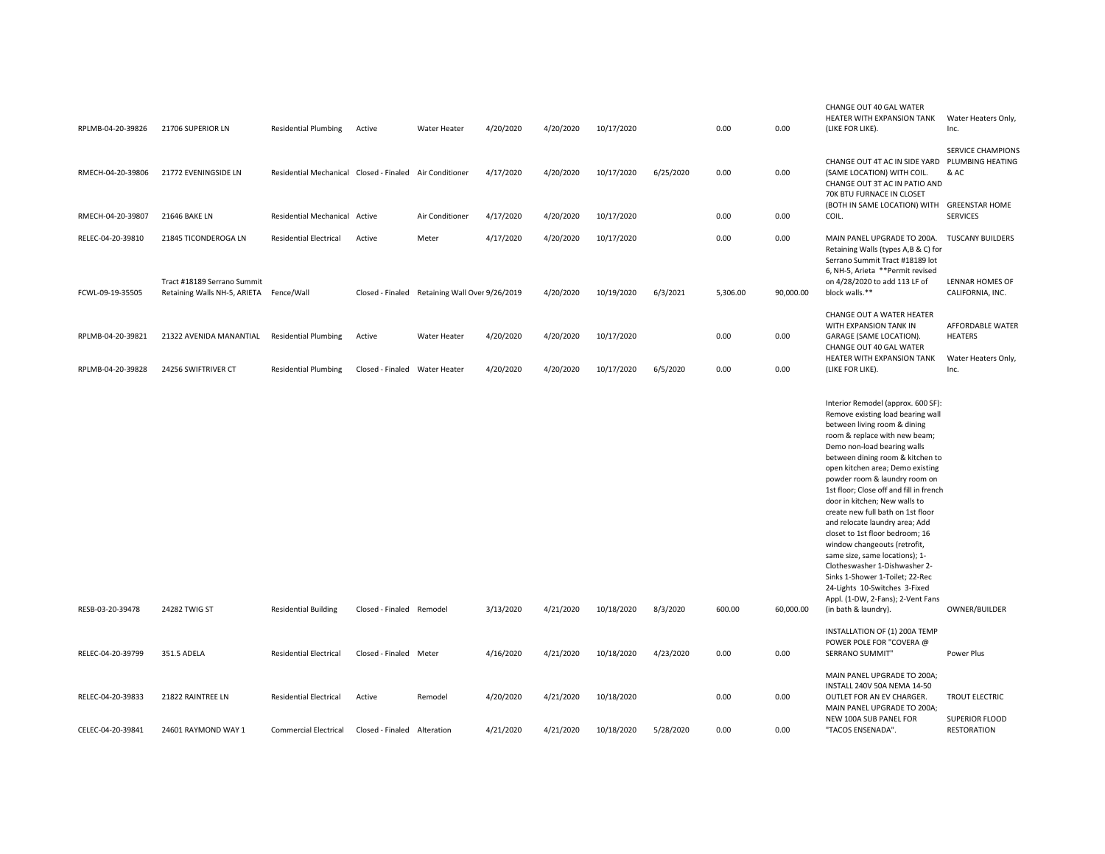| RPLMB-04-20-39826 | 21706 SUPERIOR LN                                                      | <b>Residential Plumbing</b>                             | Active                        | <b>Water Heater</b>           | 4/20/2020 | 4/20/2020 | 10/17/2020 |           | 0.00     | 0.00      | CHANGE OUT 40 GAL WATER<br>HEATER WITH EXPANSION TANK<br>(LIKE FOR LIKE).                                                                                                                                                                                                                                                                                                                                                                                                                                                                                                                                                                                                                                  | Water Heaters Only,<br>Inc.              |
|-------------------|------------------------------------------------------------------------|---------------------------------------------------------|-------------------------------|-------------------------------|-----------|-----------|------------|-----------|----------|-----------|------------------------------------------------------------------------------------------------------------------------------------------------------------------------------------------------------------------------------------------------------------------------------------------------------------------------------------------------------------------------------------------------------------------------------------------------------------------------------------------------------------------------------------------------------------------------------------------------------------------------------------------------------------------------------------------------------------|------------------------------------------|
| RMECH-04-20-39806 | 21772 EVENINGSIDE LN                                                   | Residential Mechanical Closed - Finaled Air Conditioner |                               |                               | 4/17/2020 | 4/20/2020 | 10/17/2020 | 6/25/2020 | 0.00     | 0.00      | CHANGE OUT 4T AC IN SIDE YARD PLUMBING HEATING<br>(SAME LOCATION) WITH COIL.<br>CHANGE OUT 3T AC IN PATIO AND<br>70K BTU FURNACE IN CLOSET                                                                                                                                                                                                                                                                                                                                                                                                                                                                                                                                                                 | <b>SERVICE CHAMPIONS</b><br>& AC         |
| RMECH-04-20-39807 | 21646 BAKE LN                                                          | Residential Mechanical Active                           |                               | Air Conditioner               | 4/17/2020 | 4/20/2020 | 10/17/2020 |           | 0.00     | 0.00      | (BOTH IN SAME LOCATION) WITH<br>COIL.                                                                                                                                                                                                                                                                                                                                                                                                                                                                                                                                                                                                                                                                      | <b>GREENSTAR HOME</b><br><b>SERVICES</b> |
| RELEC-04-20-39810 | 21845 TICONDEROGA LN                                                   | <b>Residential Electrical</b>                           | Active                        | Meter                         | 4/17/2020 | 4/20/2020 | 10/17/2020 |           | 0.00     | 0.00      | MAIN PANEL UPGRADE TO 200A.<br>Retaining Walls (types A,B & C) for<br>Serrano Summit Tract #18189 lot<br>6, NH-5, Arieta **Permit revised                                                                                                                                                                                                                                                                                                                                                                                                                                                                                                                                                                  | <b>TUSCANY BUILDERS</b>                  |
| FCWL-09-19-35505  | Tract #18189 Serrano Summit<br>Retaining Walls NH-5, ARIETA Fence/Wall |                                                         | Closed - Finaled              | Retaining Wall Over 9/26/2019 |           | 4/20/2020 | 10/19/2020 | 6/3/2021  | 5,306.00 | 90,000.00 | on 4/28/2020 to add 113 LF of<br>block walls.**                                                                                                                                                                                                                                                                                                                                                                                                                                                                                                                                                                                                                                                            | LENNAR HOMES OF<br>CALIFORNIA, INC.      |
| RPLMB-04-20-39821 | 21322 AVENIDA MANANTIAL                                                | <b>Residential Plumbing</b>                             | Active                        | <b>Water Heater</b>           | 4/20/2020 | 4/20/2020 | 10/17/2020 |           | 0.00     | 0.00      | CHANGE OUT A WATER HEATER<br>WITH EXPANSION TANK IN<br>GARAGE (SAME LOCATION).<br>CHANGE OUT 40 GAL WATER                                                                                                                                                                                                                                                                                                                                                                                                                                                                                                                                                                                                  | AFFORDABLE WATER<br><b>HEATERS</b>       |
| RPLMB-04-20-39828 | 24256 SWIFTRIVER CT                                                    | <b>Residential Plumbing</b>                             | Closed - Finaled Water Heater |                               | 4/20/2020 | 4/20/2020 | 10/17/2020 | 6/5/2020  | 0.00     | 0.00      | HEATER WITH EXPANSION TANK<br>(LIKE FOR LIKE).                                                                                                                                                                                                                                                                                                                                                                                                                                                                                                                                                                                                                                                             | Water Heaters Only,<br>Inc.              |
| RESB-03-20-39478  | 24282 TWIG ST                                                          | <b>Residential Building</b>                             | Closed - Finaled Remodel      |                               | 3/13/2020 | 4/21/2020 | 10/18/2020 | 8/3/2020  | 600.00   | 60,000.00 | Interior Remodel (approx. 600 SF):<br>Remove existing load bearing wall<br>between living room & dining<br>room & replace with new beam;<br>Demo non-load bearing walls<br>between dining room & kitchen to<br>open kitchen area; Demo existing<br>powder room & laundry room on<br>1st floor; Close off and fill in french<br>door in kitchen; New walls to<br>create new full bath on 1st floor<br>and relocate laundry area; Add<br>closet to 1st floor bedroom; 16<br>window changeouts (retrofit,<br>same size, same locations); 1-<br>Clotheswasher 1-Dishwasher 2-<br>Sinks 1-Shower 1-Toilet; 22-Rec<br>24-Lights 10-Switches 3-Fixed<br>Appl. (1-DW, 2-Fans); 2-Vent Fans<br>(in bath & laundry). | OWNER/BUILDER                            |
|                   |                                                                        |                                                         |                               |                               |           |           |            |           |          |           | INSTALLATION OF (1) 200A TEMP<br>POWER POLE FOR "COVERA @                                                                                                                                                                                                                                                                                                                                                                                                                                                                                                                                                                                                                                                  |                                          |
| RELEC-04-20-39799 | 351.5 ADELA                                                            | <b>Residential Electrical</b>                           | Closed - Finaled Meter        |                               | 4/16/2020 | 4/21/2020 | 10/18/2020 | 4/23/2020 | 0.00     | 0.00      | SERRANO SUMMIT"<br>MAIN PANEL UPGRADE TO 200A;                                                                                                                                                                                                                                                                                                                                                                                                                                                                                                                                                                                                                                                             | Power Plus                               |
| RELEC-04-20-39833 | 21822 RAINTREE LN                                                      | <b>Residential Electrical</b>                           | Active                        | Remodel                       | 4/20/2020 | 4/21/2020 | 10/18/2020 |           | 0.00     | 0.00      | INSTALL 240V 50A NEMA 14-50<br>OUTLET FOR AN EV CHARGER.<br>MAIN PANEL UPGRADE TO 200A;<br>NEW 100A SUB PANEL FOR                                                                                                                                                                                                                                                                                                                                                                                                                                                                                                                                                                                          | TROUT ELECTRIC<br><b>SUPERIOR FLOOD</b>  |
| CELEC-04-20-39841 | 24601 RAYMOND WAY 1                                                    | <b>Commercial Electrical</b>                            | Closed - Finaled Alteration   |                               | 4/21/2020 | 4/21/2020 | 10/18/2020 | 5/28/2020 | 0.00     | 0.00      | "TACOS ENSENADA".                                                                                                                                                                                                                                                                                                                                                                                                                                                                                                                                                                                                                                                                                          | <b>RESTORATION</b>                       |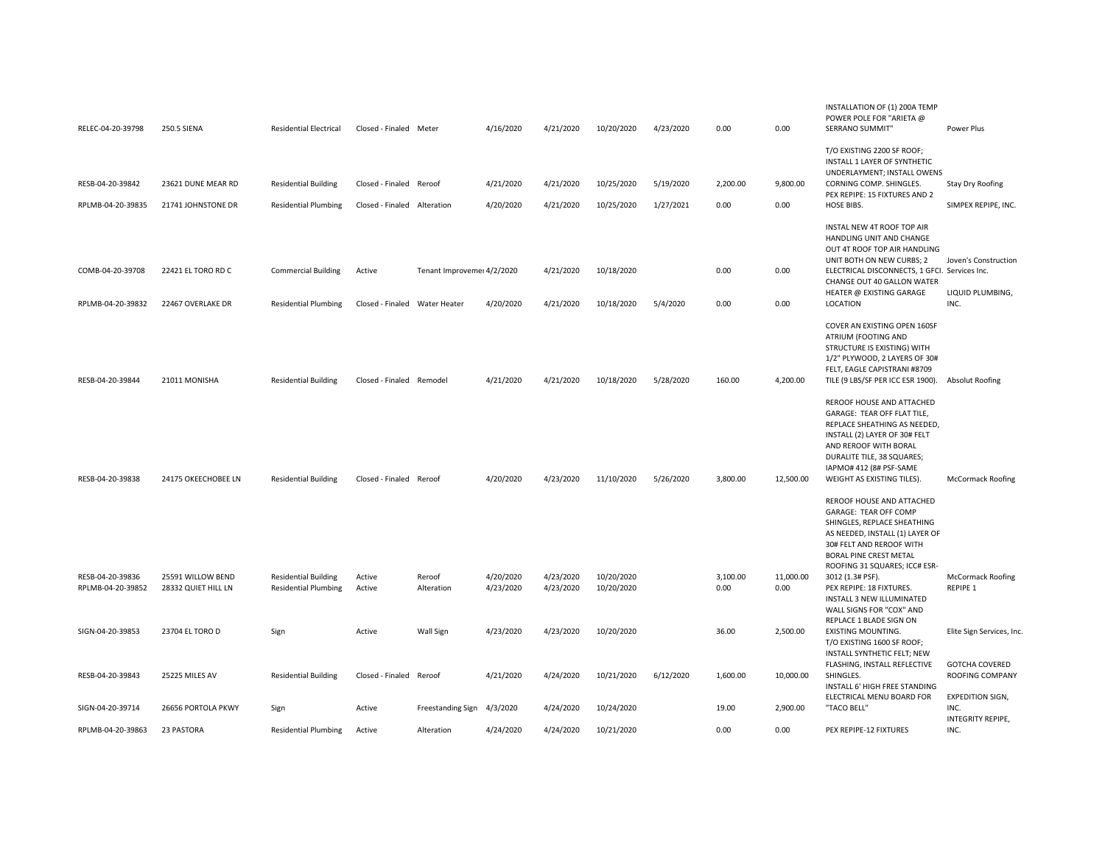| RELEC-04-20-39798                     | 250.5 SIENA                              | <b>Residential Electrical</b>                              | Closed - Finaled Meter        |                            | 4/16/2020              | 4/21/2020              | 10/20/2020               | 4/23/2020 | 0.00             | 0.00              | INSTALLATION OF (1) 200A TEMP<br>POWER POLE FOR "ARIETA @<br>SERRANO SUMMIT"                                                                                                                                       | Power Plus                                           |
|---------------------------------------|------------------------------------------|------------------------------------------------------------|-------------------------------|----------------------------|------------------------|------------------------|--------------------------|-----------|------------------|-------------------|--------------------------------------------------------------------------------------------------------------------------------------------------------------------------------------------------------------------|------------------------------------------------------|
|                                       |                                          |                                                            |                               |                            |                        |                        |                          |           |                  |                   | T/O EXISTING 2200 SF ROOF;<br>INSTALL 1 LAYER OF SYNTHETIC<br>UNDERLAYMENT; INSTALL OWENS                                                                                                                          |                                                      |
| RESB-04-20-39842                      | 23621 DUNE MEAR RD                       | <b>Residential Building</b>                                | Closed - Finaled Reroof       |                            | 4/21/2020              | 4/21/2020              | 10/25/2020               | 5/19/2020 | 2,200.00         | 9.800.00          | CORNING COMP. SHINGLES.<br>PEX REPIPE: 15 FIXTURES AND 2                                                                                                                                                           | <b>Stay Dry Roofing</b>                              |
| RPLMB-04-20-39835                     | 21741 JOHNSTONE DR                       | <b>Residential Plumbing</b>                                | Closed - Finaled Alteration   |                            | 4/20/2020              | 4/21/2020              | 10/25/2020               | 1/27/2021 | 0.00             | 0.00              | HOSE BIBS.                                                                                                                                                                                                         | SIMPEX REPIPE, INC.                                  |
| COMB-04-20-39708                      | 22421 EL TORO RD C                       | <b>Commercial Building</b>                                 | Active                        | Tenant Improveme: 4/2/2020 |                        | 4/21/2020              | 10/18/2020               |           | 0.00             | 0.00              | INSTAL NEW 4T ROOF TOP AIR<br>HANDLING UNIT AND CHANGE<br>OUT 4T ROOF TOP AIR HANDLING<br>UNIT BOTH ON NEW CURBS; 2<br>ELECTRICAL DISCONNECTS, 1 GFCI. Services Inc.<br>CHANGE OUT 40 GALLON WATER                 | Joven's Construction                                 |
| RPLMB-04-20-39832                     | 22467 OVERLAKE DR                        | <b>Residential Plumbing</b>                                | Closed - Finaled Water Heater |                            | 4/20/2020              | 4/21/2020              | 10/18/2020               | 5/4/2020  | 0.00             | 0.00              | HEATER @ EXISTING GARAGE<br>LOCATION                                                                                                                                                                               | LIQUID PLUMBING,<br>INC.                             |
|                                       |                                          |                                                            |                               |                            |                        |                        |                          |           |                  |                   |                                                                                                                                                                                                                    |                                                      |
| RESB-04-20-39844                      | 21011 MONISHA                            |                                                            | Closed - Finaled Remodel      |                            | 4/21/2020              | 4/21/2020              |                          |           | 160.00           | 4,200.00          | COVER AN EXISTING OPEN 160SF<br>ATRIUM (FOOTING AND<br>STRUCTURE IS EXISTING) WITH<br>1/2" PLYWOOD, 2 LAYERS OF 30#<br>FELT, EAGLE CAPISTRANI #8709                                                                |                                                      |
|                                       |                                          | <b>Residential Building</b>                                |                               |                            |                        |                        | 10/18/2020               | 5/28/2020 |                  |                   | TILE (9 LBS/SF PER ICC ESR 1900).                                                                                                                                                                                  | <b>Absolut Roofing</b>                               |
|                                       |                                          |                                                            |                               |                            |                        |                        |                          |           |                  |                   | REROOF HOUSE AND ATTACHED<br>GARAGE: TEAR OFF FLAT TILE,<br>REPLACE SHEATHING AS NEEDED,<br>INSTALL (2) LAYER OF 30# FELT<br>AND REROOF WITH BORAL<br>DURALITE TILE, 38 SQUARES;<br>IAPMO# 412 (8# PSF-SAME        |                                                      |
| RESB-04-20-39838                      | 24175 OKEECHOBEE LN                      | <b>Residential Building</b>                                | Closed - Finaled Reroof       |                            | 4/20/2020              | 4/23/2020              | 11/10/2020               | 5/26/2020 | 3,800.00         | 12,500.00         | WEIGHT AS EXISTING TILES).                                                                                                                                                                                         | <b>McCormack Roofing</b>                             |
|                                       |                                          |                                                            |                               |                            |                        |                        |                          |           |                  |                   | REROOF HOUSE AND ATTACHED<br>GARAGE: TEAR OFF COMP<br>SHINGLES, REPLACE SHEATHING<br>AS NEEDED, INSTALL (1) LAYER OF<br>30# FELT AND REROOF WITH<br><b>BORAL PINE CREST METAL</b><br>ROOFING 31 SQUARES; ICC# ESR- |                                                      |
| RESB-04-20-39836<br>RPLMB-04-20-39852 | 25591 WILLOW BEND<br>28332 QUIET HILL LN | <b>Residential Building</b><br><b>Residential Plumbing</b> | Active<br>Active              | Reroof<br>Alteration       | 4/20/2020<br>4/23/2020 | 4/23/2020<br>4/23/2020 | 10/20/2020<br>10/20/2020 |           | 3,100.00<br>0.00 | 11,000.00<br>0.00 | 3012 (1.3# PSF).<br>PEX REPIPE: 18 FIXTURES.                                                                                                                                                                       | <b>McCormack Roofing</b><br>REPIPE 1                 |
|                                       |                                          |                                                            |                               |                            |                        |                        |                          |           |                  |                   | INSTALL 3 NEW ILLUMINATED<br>WALL SIGNS FOR "COX" AND<br>REPLACE 1 BLADE SIGN ON                                                                                                                                   |                                                      |
| SIGN-04-20-39853                      | 23704 EL TORO D                          | Sign                                                       | Active                        | Wall Sign                  | 4/23/2020              | 4/23/2020              | 10/20/2020               |           | 36.00            | 2,500.00          | <b>EXISTING MOUNTING.</b><br>T/O EXISTING 1600 SF ROOF;<br>INSTALL SYNTHETIC FELT; NEW                                                                                                                             | Elite Sign Services, Inc.                            |
| RESB-04-20-39843                      | 25225 MILES AV                           | <b>Residential Building</b>                                | Closed - Finaled              | Reroof                     | 4/21/2020              | 4/24/2020              | 10/21/2020               | 6/12/2020 | 1,600.00         | 10,000.00         | FLASHING, INSTALL REFLECTIVE<br>SHINGLES.<br>INSTALL 6' HIGH FREE STANDING                                                                                                                                         | <b>GOTCHA COVERED</b><br>ROOFING COMPANY             |
| SIGN-04-20-39714                      | 26656 PORTOLA PKWY                       | Sign                                                       | Active                        | Freestanding Sign          | 4/3/2020               | 4/24/2020              | 10/24/2020               |           | 19.00            | 2,900.00          | ELECTRICAL MENU BOARD FOR<br>"TACO BELL"                                                                                                                                                                           | <b>EXPEDITION SIGN,</b><br>INC.<br>INTEGRITY REPIPE, |
| RPLMB-04-20-39863                     | 23 PASTORA                               | <b>Residential Plumbing</b>                                | Active                        | Alteration                 | 4/24/2020              | 4/24/2020              | 10/21/2020               |           | 0.00             | 0.00              | PEX REPIPE-12 FIXTURES                                                                                                                                                                                             | INC.                                                 |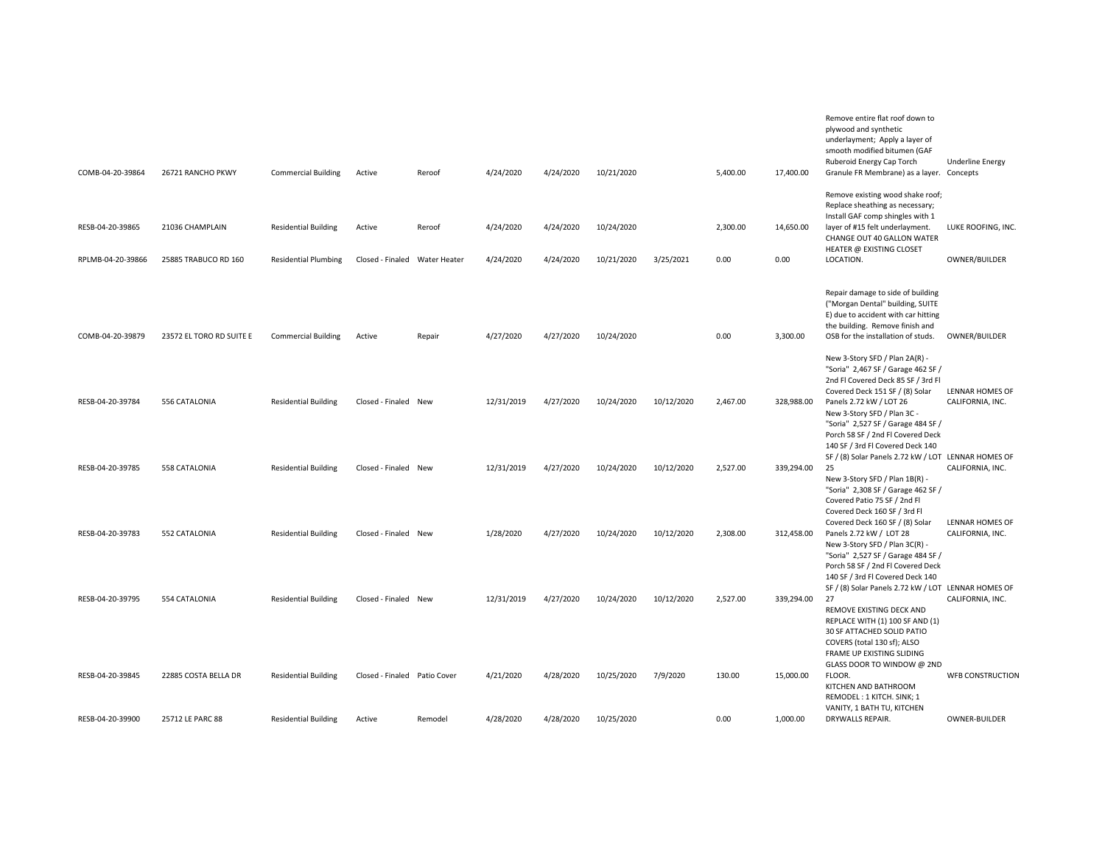| COMB-04-20-39864                      | 26721 RANCHO PKWY                       | <b>Commercial Building</b>                                 | Active                                  | Reroof  | 4/24/2020              | 4/24/2020              | 10/21/2020               |            | 5,400.00         | 17,400.00         | Remove entire flat roof down to<br>plywood and synthetic<br>underlayment; Apply a layer of<br>smooth modified bitumen (GAF<br>Ruberoid Energy Cap Torch<br>Granule FR Membrane) as a layer. Concepts                                     | <b>Underline Energy</b>             |
|---------------------------------------|-----------------------------------------|------------------------------------------------------------|-----------------------------------------|---------|------------------------|------------------------|--------------------------|------------|------------------|-------------------|------------------------------------------------------------------------------------------------------------------------------------------------------------------------------------------------------------------------------------------|-------------------------------------|
| RESB-04-20-39865<br>RPLMB-04-20-39866 | 21036 CHAMPLAIN<br>25885 TRABUCO RD 160 | <b>Residential Building</b><br><b>Residential Plumbing</b> | Active<br>Closed - Finaled Water Heater | Reroof  | 4/24/2020<br>4/24/2020 | 4/24/2020<br>4/24/2020 | 10/24/2020<br>10/21/2020 | 3/25/2021  | 2,300.00<br>0.00 | 14,650.00<br>0.00 | Remove existing wood shake roof;<br>Replace sheathing as necessary;<br>Install GAF comp shingles with 1<br>layer of #15 felt underlayment.<br>CHANGE OUT 40 GALLON WATER<br>HEATER @ EXISTING CLOSET<br>LOCATION.                        | LUKE ROOFING, INC.<br>OWNER/BUILDER |
|                                       |                                         |                                                            |                                         |         |                        |                        |                          |            |                  |                   |                                                                                                                                                                                                                                          |                                     |
| COMB-04-20-39879                      | 23572 EL TORO RD SUITE E                | <b>Commercial Building</b>                                 | Active                                  | Repair  | 4/27/2020              | 4/27/2020              | 10/24/2020               |            | 0.00             | 3,300.00          | Repair damage to side of building<br>("Morgan Dental" building, SUITE<br>E) due to accident with car hitting<br>the building. Remove finish and<br>OSB for the installation of studs.                                                    | OWNER/BUILDER                       |
| RESB-04-20-39784                      | 556 CATALONIA                           | <b>Residential Building</b>                                | Closed - Finaled New                    |         | 12/31/2019             | 4/27/2020              | 10/24/2020               | 10/12/2020 | 2,467.00         | 328,988.00        | New 3-Story SFD / Plan 2A(R) -<br>"Soria" 2,467 SF / Garage 462 SF /<br>2nd Fl Covered Deck 85 SF / 3rd Fl<br>Covered Deck 151 SF / (8) Solar<br>Panels 2.72 kW / LOT 26<br>New 3-Story SFD / Plan 3C -                                  | LENNAR HOMES OF<br>CALIFORNIA, INC. |
| RESB-04-20-39785                      | 558 CATALONIA                           | <b>Residential Building</b>                                | Closed - Finaled New                    |         | 12/31/2019             | 4/27/2020              | 10/24/2020               | 10/12/2020 | 2,527.00         | 339,294.00        | "Soria" 2,527 SF / Garage 484 SF /<br>Porch 58 SF / 2nd Fl Covered Deck<br>140 SF / 3rd Fl Covered Deck 140<br>SF / (8) Solar Panels 2.72 kW / LOT LENNAR HOMES OF<br>25<br>New 3-Story SFD / Plan 1B(R) -                               | CALIFORNIA, INC.                    |
| RESB-04-20-39783                      | 552 CATALONIA                           | <b>Residential Building</b>                                | Closed - Finaled New                    |         | 1/28/2020              | 4/27/2020              | 10/24/2020               | 10/12/2020 | 2,308.00         | 312,458.00        | "Soria" 2,308 SF / Garage 462 SF /<br>Covered Patio 75 SF / 2nd Fl<br>Covered Deck 160 SF / 3rd Fl<br>Covered Deck 160 SF / (8) Solar<br>Panels 2.72 kW / LOT 28<br>New 3-Story SFD / Plan 3C(R) -<br>"Soria" 2,527 SF / Garage 484 SF / | LENNAR HOMES OF<br>CALIFORNIA, INC. |
| RESB-04-20-39795                      | 554 CATALONIA                           | <b>Residential Building</b>                                | Closed - Finaled New                    |         | 12/31/2019             | 4/27/2020              | 10/24/2020               | 10/12/2020 | 2,527.00         | 339,294.00        | Porch 58 SF / 2nd Fl Covered Deck<br>140 SF / 3rd Fl Covered Deck 140<br>SF / (8) Solar Panels 2.72 kW / LOT LENNAR HOMES OF<br>27<br>REMOVE EXISTING DECK AND<br>REPLACE WITH (1) 100 SF AND (1)                                        | CALIFORNIA, INC.                    |
| RESB-04-20-39845                      | 22885 COSTA BELLA DR                    | <b>Residential Building</b>                                | Closed - Finaled Patio Cover            |         | 4/21/2020              | 4/28/2020              | 10/25/2020               | 7/9/2020   | 130.00           | 15,000.00         | 30 SF ATTACHED SOLID PATIO<br>COVERS (total 130 sf); ALSO<br>FRAME UP EXISTING SLIDING<br>GLASS DOOR TO WINDOW @ 2ND<br>FLOOR.<br>KITCHEN AND BATHROOM<br>REMODEL: 1 KITCH. SINK; 1<br>VANITY, 1 BATH TU, KITCHEN                        | <b>WFB CONSTRUCTION</b>             |
| RESB-04-20-39900                      | 25712 LE PARC 88                        | <b>Residential Building</b>                                | Active                                  | Remodel | 4/28/2020              | 4/28/2020              | 10/25/2020               |            | 0.00             | 1,000.00          | DRYWALLS REPAIR.                                                                                                                                                                                                                         | OWNER-BUILDER                       |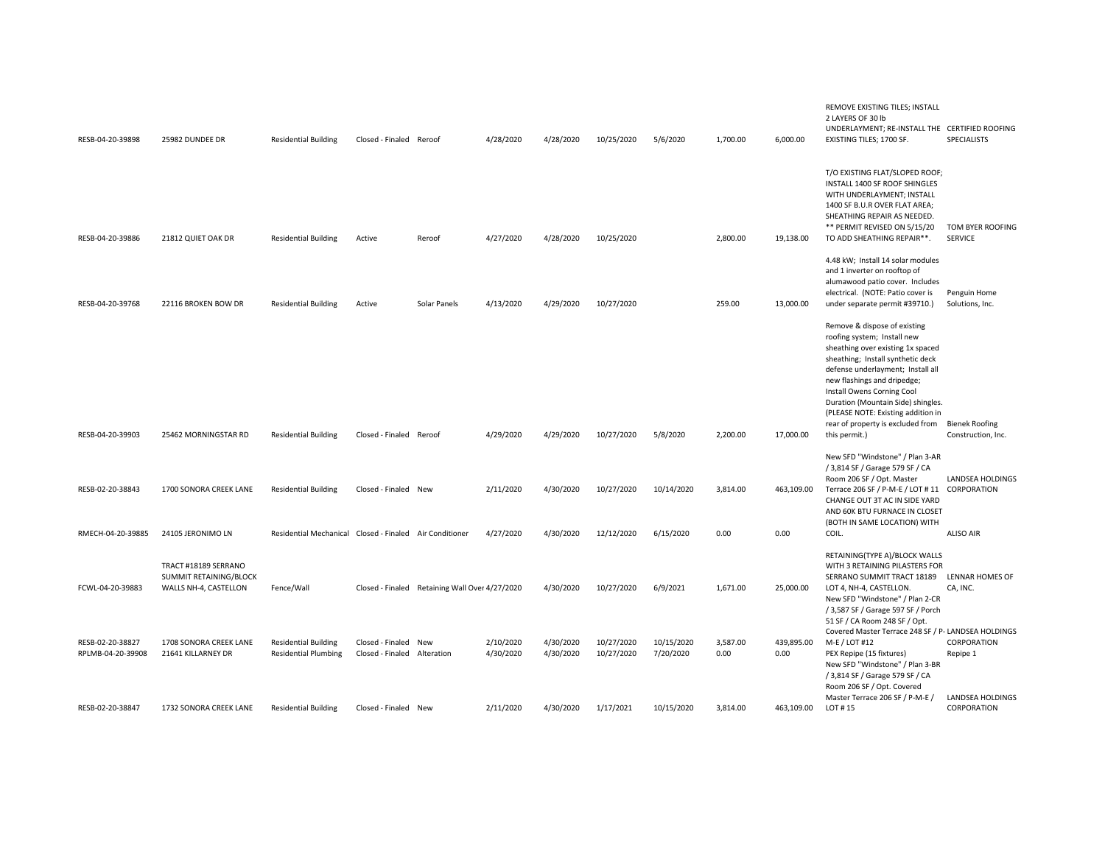| RESB-04-20-39898                      | 25982 DUNDEE DR                                                         | <b>Residential Building</b>                                | Closed - Finaled Reroof                             |                                                | 4/28/2020              | 4/28/2020              | 10/25/2020               | 5/6/2020                | 1,700.00         | 6,000.00           | REMOVE EXISTING TILES; INSTALL<br>2 LAYERS OF 30 lb<br>UNDERLAYMENT; RE-INSTALL THE CERTIFIED ROOFING<br>EXISTING TILES; 1700 SF.                                                                                                                                                                                                                                         | <b>SPECIALISTS</b>                          |
|---------------------------------------|-------------------------------------------------------------------------|------------------------------------------------------------|-----------------------------------------------------|------------------------------------------------|------------------------|------------------------|--------------------------|-------------------------|------------------|--------------------|---------------------------------------------------------------------------------------------------------------------------------------------------------------------------------------------------------------------------------------------------------------------------------------------------------------------------------------------------------------------------|---------------------------------------------|
| RESB-04-20-39886                      | 21812 QUIET OAK DR                                                      | <b>Residential Building</b>                                | Active                                              | Reroof                                         | 4/27/2020              | 4/28/2020              | 10/25/2020               |                         | 2,800.00         | 19,138.00          | T/O EXISTING FLAT/SLOPED ROOF;<br>INSTALL 1400 SF ROOF SHINGLES<br>WITH UNDERLAYMENT; INSTALL<br>1400 SF B.U.R OVER FLAT AREA;<br>SHEATHING REPAIR AS NEEDED.<br>** PERMIT REVISED ON 5/15/20<br>TO ADD SHEATHING REPAIR**.                                                                                                                                               | TOM BYER ROOFING<br>SERVICE                 |
| RESB-04-20-39768                      | 22116 BROKEN BOW DR                                                     | <b>Residential Building</b>                                | Active                                              | Solar Panels                                   | 4/13/2020              | 4/29/2020              | 10/27/2020               |                         | 259.00           | 13,000.00          | 4.48 kW; Install 14 solar modules<br>and 1 inverter on rooftop of<br>alumawood patio cover. Includes<br>electrical. (NOTE: Patio cover is<br>under separate permit #39710.)                                                                                                                                                                                               | Penguin Home<br>Solutions, Inc.             |
| RESB-04-20-39903                      | 25462 MORNINGSTAR RD                                                    | <b>Residential Building</b>                                | Closed - Finaled Reroof                             |                                                | 4/29/2020              | 4/29/2020              | 10/27/2020               | 5/8/2020                | 2,200.00         | 17,000.00          | Remove & dispose of existing<br>roofing system; Install new<br>sheathing over existing 1x spaced<br>sheathing; Install synthetic deck<br>defense underlayment; Install all<br>new flashings and dripedge;<br>Install Owens Corning Cool<br>Duration (Mountain Side) shingles.<br>(PLEASE NOTE: Existing addition in<br>rear of property is excluded from<br>this permit.) | <b>Bienek Roofing</b><br>Construction, Inc. |
| RESB-02-20-38843                      | 1700 SONORA CREEK LANE                                                  | <b>Residential Building</b>                                | Closed - Finaled New                                |                                                | 2/11/2020              | 4/30/2020              | 10/27/2020               | 10/14/2020              | 3,814.00         | 463,109.00         | New SFD "Windstone" / Plan 3-AR<br>/ 3,814 SF / Garage 579 SF / CA<br>Room 206 SF / Opt. Master<br>Terrace 206 SF / P-M-E / LOT # 11 CORPORATION<br>CHANGE OUT 3T AC IN SIDE YARD<br>AND 60K BTU FURNACE IN CLOSET<br>(BOTH IN SAME LOCATION) WITH                                                                                                                        | LANDSEA HOLDINGS                            |
| RMECH-04-20-39885                     | 24105 JERONIMO LN                                                       | Residential Mechanical Closed - Finaled Air Conditioner    |                                                     |                                                | 4/27/2020              | 4/30/2020              | 12/12/2020               | 6/15/2020               | 0.00             | 0.00               | COIL.                                                                                                                                                                                                                                                                                                                                                                     | <b>ALISO AIR</b>                            |
| FCWL-04-20-39883                      | TRACT #18189 SERRANO<br>SUMMIT RETAINING/BLOCK<br>WALLS NH-4, CASTELLON | Fence/Wall                                                 |                                                     | Closed - Finaled Retaining Wall Over 4/27/2020 |                        | 4/30/2020              | 10/27/2020               | 6/9/2021                | 1,671.00         | 25,000.00          | RETAINING(TYPE A)/BLOCK WALLS<br>WITH 3 RETAINING PILASTERS FOR<br>SERRANO SUMMIT TRACT 18189<br>LOT 4, NH-4, CASTELLON.<br>New SFD "Windstone" / Plan 2-CR<br>/ 3,587 SF / Garage 597 SF / Porch<br>51 SF / CA Room 248 SF / Opt.                                                                                                                                        | <b>LENNAR HOMES OF</b><br>CA, INC.          |
| RESB-02-20-38827<br>RPLMB-04-20-39908 | 1708 SONORA CREEK LANE<br>21641 KILLARNEY DR                            | <b>Residential Building</b><br><b>Residential Plumbing</b> | Closed - Finaled New<br>Closed - Finaled Alteration |                                                | 2/10/2020<br>4/30/2020 | 4/30/2020<br>4/30/2020 | 10/27/2020<br>10/27/2020 | 10/15/2020<br>7/20/2020 | 3,587.00<br>0.00 | 439,895.00<br>0.00 | Covered Master Terrace 248 SF / P- LANDSEA HOLDINGS<br>M-E / LOT #12<br>PEX Repipe (15 fixtures)<br>New SFD "Windstone" / Plan 3-BR<br>/ 3,814 SF / Garage 579 SF / CA<br>Room 206 SF / Opt. Covered                                                                                                                                                                      | CORPORATION<br>Repipe 1                     |
| RESB-02-20-38847                      | 1732 SONORA CREEK LANE                                                  | <b>Residential Building</b>                                | Closed - Finaled New                                |                                                | 2/11/2020              | 4/30/2020              | 1/17/2021                | 10/15/2020              | 3,814.00         | 463,109.00         | Master Terrace 206 SF / P-M-E /<br>LOT #15                                                                                                                                                                                                                                                                                                                                | LANDSEA HOLDINGS<br>CORPORATION             |